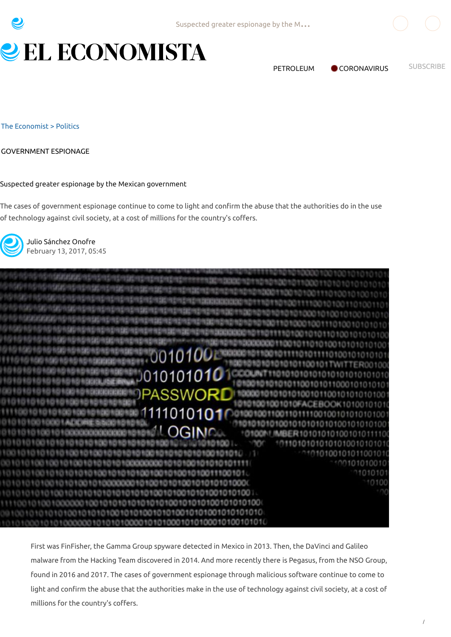

[PETROLEUM](https://www.eleconomista.com.mx/tags/precios-del-petroleo-1553) [CORONAVIRUS](https://www.eleconomista.com.mx/tags/coronavirus-16038)

[SUBSCRIBE](https://servicios.eleconomista.com.mx/SuscripcionesOnline/Services.aspx)

The [Economist](https://www.eleconomista.com.mx/) > [Politics](https://www.eleconomista.com.mx/seccion/politica)

GOVERNMENT ESPIONAGE

#### Suspected greater espionage by the Mexican government

The cases of government espionage continue to come to light and confirm the abuse that the authorities do in the use of technology against civil society, at a cost of millions for the country's coffers.



Julio Sánchez Onofre February 13, 2017, 05:45

1010 101 100

First was FinFisher, the Gamma Group spyware detected in Mexico in 2013. Then, the DaVinci and Galileo malware from the Hacking Team discovered in 2014. And more recently there is Pegasus, from the NSO Group, found in 2016 and 2017. The cases of government espionage through malicious software continue to come to light and confirm the abuse that the authorities make in the use of technology against civil society, at a cost of millions for the country's coffers.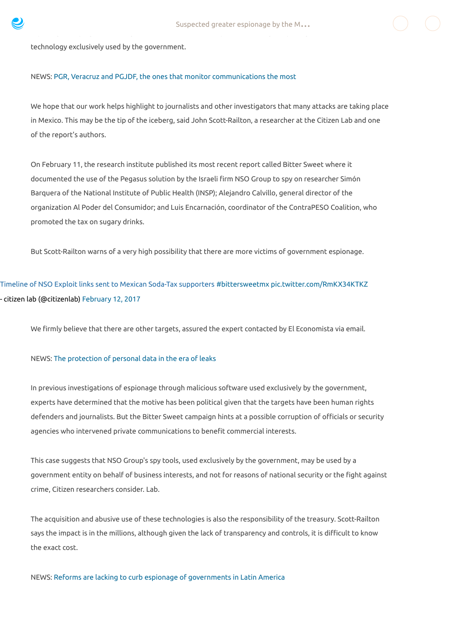technology exclusively used by the government.

#### NEWS: PGR, Veracruz and PGJDF, the ones that monitor [communications](http://eleconomista.com.mx/sociedad/2016/11/27/pgr-veracruz-pgjdf-que-mas-vigilan-las-comunicaciones) the most

We hope that our work helps highlight to journalists and other investigators that many attacks are taking place in Mexico. This may be the tip of the iceberg, said John Scott-Railton, a researcher at the Citizen Lab and one of the report's authors.

[Researchers](https://www.eleconomista.com.mx/) at the Citizen Lab, an institute of the University of Toronto, Canada, have discovered thes[e](https://www.eleconomista.com.mx/mieconomista/tutorial)

On February 11, the research institute published its most recent report called Bitter Sweet where it documented the use of the Pegasus solution by the Israeli firm NSO Group to spy on researcher Simón Barquera of the National Institute of Public Health (INSP); Alejandro Calvillo, general director of the organization Al Poder del Consumidor; and Luis Encarnación, coordinator of the ContraPESO Coalition, who promoted the tax on sugary drinks.

But Scott-Railton warns of a very high possibility that there are more victims of government espionage.

## Timeline of NSO Exploit links sent to Mexican Soda-Tax supporters [#bittersweetmx](https://twitter.com/hashtag/bittersweetmx?src=hash) [pic.twitter.com/RmKX34KTKZ](https://t.co/RmKX34KTKZ) - citizen lab (@citizenlab) [February](https://twitter.com/citizenlab/status/830835116775718913) 12, 2017

We firmly believe that there are other targets, assured the expert contacted by El Economista via email.

#### NEWS: The [protection](http://eleconomista.com.mx/tecnociencia/2016/05/14/proteccion-datos-personales-era-leaks) of personal data in the era of leaks

In previous investigations of espionage through malicious software used exclusively by the government, experts have determined that the motive has been political given that the targets have been human rights defenders and journalists. But the Bitter Sweet campaign hints at a possible corruption of officials or security agencies who intervened private communications to benefit commercial interests.

This case suggests that NSO Group's spy tools, used exclusively by the government, may be used by a government entity on behalf of business interests, and not for reasons of national security or the fight against crime, Citizen researchers consider. Lab.

The acquisition and abusive use of these technologies is also the responsibility of the treasury. Scott-Railton says the impact is in the millions, although given the lack of transparency and controls, it is difficult to know the exact cost.

NEWS: Reforms are lacking to curb espionage of [governments](http://eleconomista.com.mx/tecnociencia/2016/10/13/faltan-reformas-frenar-espionaje-gobiernos) in Latin America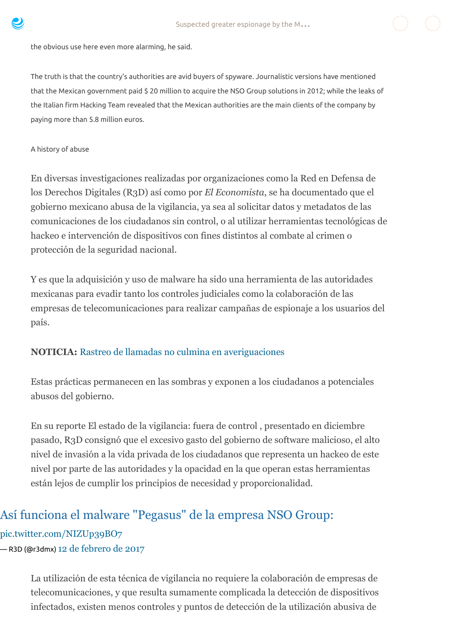



the obvious use here even more alarming, he said.

The truth is that the country's authorities are avid buyers of spyware. Journalistic versions have mentioned that the Mexican government paid \$ 20 million to acquire the NSO Group solutions in 2012; while the leaks of the Italian firm Hacking Team revealed that the Mexican authorities are the main clients of the company by paying more than 5.8 million euros.

#### A history of abuse

En diversas investigaciones realizadas por organizaciones como la Red en Defensa de los Derechos Digitales (R3D) así como por *El Economista*, se ha documentado que el gobierno mexicano abusa de la vigilancia, ya sea al solicitar datos y metadatos de las comunicaciones de los ciudadanos sin control, o al utilizar herramientas tecnológicas de hackeo e intervención de dispositivos con fines distintos al combate al crimen o protección de la seguridad nacional.

Y es que la adquisición y uso de malware ha sido una herramienta de las autoridades mexicanas para evadir tanto los controles judiciales como la colaboración de las empresas de telecomunicaciones para realizar campañas de espionaje a los usuarios del país.

## **NOTICIA:** [Rastreo de llamadas no culmina en averiguaciones](http://eleconomista.com.mx/sociedad/2016/11/28/rastreo-llamadas-no-culmina-averiguaciones)

Estas prácticas permanecen en las sombras y exponen a los ciudadanos a potenciales abusos del gobierno.

En su reporte El estado de la vigilancia: fuera de control , presentado en diciembre pasado, R3D consignó que el excesivo gasto del gobierno de software malicioso, el alto nivel de invasión a la vida privada de los ciudadanos que representa un hackeo de este nivel por parte de las autoridades y la opacidad en la que operan estas herramientas están lejos de cumplir los principios de necesidad y proporcionalidad.

# Así funciona el malware "Pegasus" de la empresa NSO Group:

## [pic.twitter.com/NIZUp39BO7](https://t.co/NIZUp39BO7)

— R3D (@r3dmx) [12 de febrero de 2017](https://twitter.com/r3dmx/status/830597401341722624)

La utilización de esta técnica de vigilancia no requiere la colaboración de empresas de telecomunicaciones, y que resulta sumamente complicada la detección de dispositivos infectados, existen menos controles y puntos de detección de la utilización abusiva de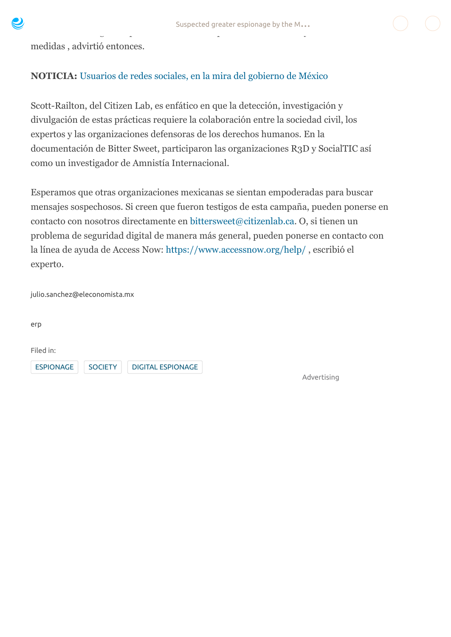medidas , advirtió entonces.

#### **NOTICIA:** [Usuarios de redes sociales, en la mira del gobierno de México](http://eleconomista.com.mx/tecnociencia/2016/12/26/usuarios-redes-sociales-mira-gobierno-mexico)

Scott-Railton, del Citizen Lab, es enfático en que la detección, investigación y divulgación de estas prácticas requiere la colaboración entre la sociedad civil, los expertos y las organizaciones defensoras de los derechos humanos. En la documentación de Bitter Sweet, participaron las organizaciones R3D y SocialTIC así como un investigador de Amnistía Internacional.

Esperamos que otras organizaciones mexicanas se sientan empoderadas para buscar mensajes sospechosos. Si creen que fueron testigos de esta campaña, pueden ponerse en contacto con nosotros directamente en [bittersweet@citizenlab.ca](https://www.eleconomista.com.mx/contenidos/2017/02/13/bittersweet@citizenlab.ca). O, si tienen un problema de seguridad digital de manera más general, pueden ponerse en contacto con la línea de ayuda de Access Now: <https://www.accessnow.org/help/>, escribió el experto.

julio.sanchez@eleconomista.mx

erp

Filed in:

[ESPIONAGE](https://www.eleconomista.com.mx/tags/espionaje_digital) [SOCIETY](https://www.eleconomista.com.mx/tags/Sociedad) DIGITAL ESPIONAGE

Advertising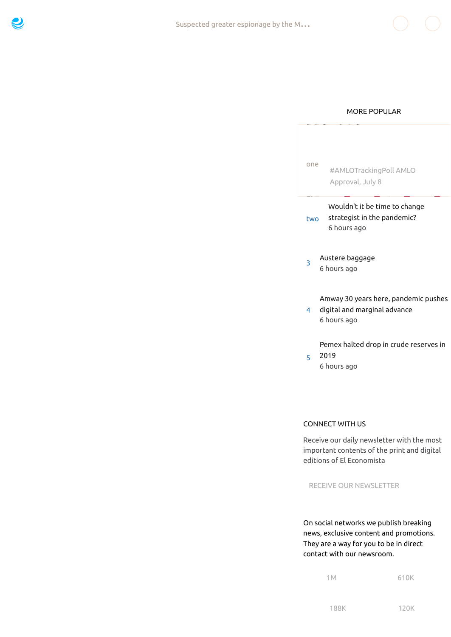

| one |                        |
|-----|------------------------|
|     | #AMLOTrackingPoll AMLO |
|     | Approval, July 8       |

#### Wouldn't it be time to change

strategist in the [pandemic?](https://www.eleconomista.com.mx/opinion/No-seria-hora-de-cambiar-de-estratega-en-la-pandemia-20200708-0009.html) 6 hours ago two

Austere [baggage](https://www.eleconomista.com.mx/cartones/Equipaje-austero-20200708-0007.html) 6 hours ago 3

Amway 30 years here, [pandemic](https://www.eleconomista.com.mx/opinion/Amway-30-anos-aqui-pandemia-empuja-lo-digital-y-por-avance-marginal-20200708-0010.html) pushes

4 digital and marginal advance 6 hours ago

Pemex halted drop in crude [reserves](https://www.eleconomista.com.mx/empresas/Pemex-freno-caida-de-reservas-de-crudo-en-el-2019-20200708-0016.html) in

2019 5

6 hours ago

#### CONNECT WITH US

Receive our daily newsletter with the most important contents of the print and digital editions of El Economista

RECEIVE OUR [NEWSLETTER](https://servicios.eleconomista.com.mx/boletin/)

On social networks we publish breaking news, exclusive content and promotions. They are a way for you to be in direct contact with our newsroom.

[1M](https://www.facebook.com/ElEconomista.mx) [610K](https://twitter.com/eleconomista)

[188K](https://www.linkedin.com/company/651072) [120K](https://www.youtube.com/user/VideoElEconomista)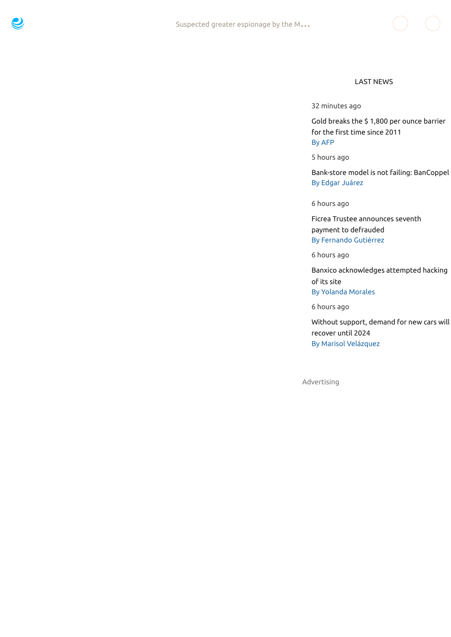

#### LAST NEWS

32 minutes ago

Gold breaks the \$ 1,800 per ounce [barrier](https://www.eleconomista.com.mx/mercados/El-oro-supera-la-barrera-de-los-1800-dolares-por-onza-por-primera-vez-desde-2011-20200708-0026.html) for the first time since 2011 By AFP

5 hours ago

Bank-store model is not failing: [BanCoppel](https://www.eleconomista.com.mx/sectorfinanciero/Modelo-de-banco-tienda-no-esta-fallando-BanCoppel-20200708-0023.html) By Edgar Juárez

6 hours ago

Ficrea Trustee [announces](https://www.eleconomista.com.mx/sectorfinanciero/Sindico-de-Ficrea-anuncia-septimo-pago-a-defraudados-20200708-0022.html) seventh payment to defrauded By [Fernando](https://www.eleconomista.com.mx/autor/fernando.gutierrez) Gutiérrez

6 hours ago

Banxico [acknowledges](https://www.eleconomista.com.mx/economia/Banxico-reconoce-intento-de-hackeo-a-su-sitio-20200708-0021.html) attempted hacking of its site By Yolanda [Morales](https://www.eleconomista.com.mx/autor/yolanda.morales)

6 hours ago

Without [support,](https://www.eleconomista.com.mx/empresas/Sin-apoyos-demanda-de-autos-nuevos-se-recuperara-hasta-2024-20200708-0019.html) demand for new cars will recover until 2024 By Marisol Velázquez

Advertising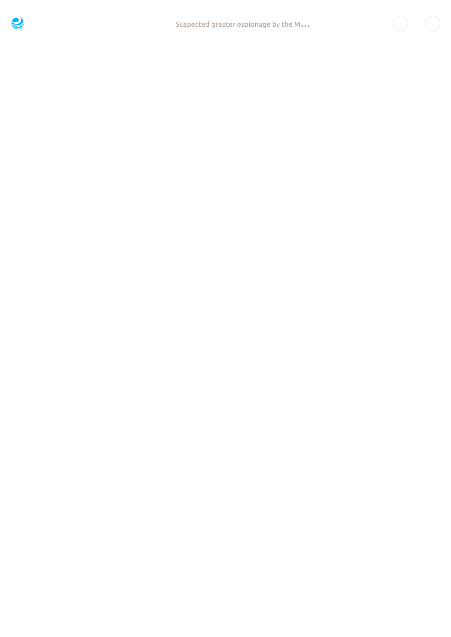

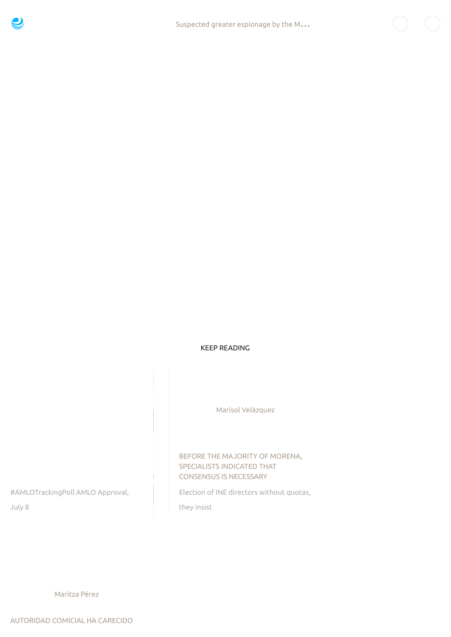



### KEEP READING

Marisol Velázquez

BEFORE THE MAJORITY OF MORENA, SPECIALISTS INDICATED THAT [CONSENSUS](https://www.eleconomista.com.mx/politica/Eleccion-de-consejeros-de-INE-sin-cuotas-insisten-20200707-0140.html) IS NECESSARY

[#AMLOTrackingPoll](https://www.eleconomista.com.mx/politica/AMLOTrackingPoll-Aprobacion-de-AMLO-8-de-julio-20200708-0012.html) AMLO Approval, July 8

Election of INE [directors](https://www.eleconomista.com.mx/politica/Eleccion-de-consejeros-de-INE-sin-cuotas-insisten-20200707-0140.html) without quotas, they insist

Maritza Pérez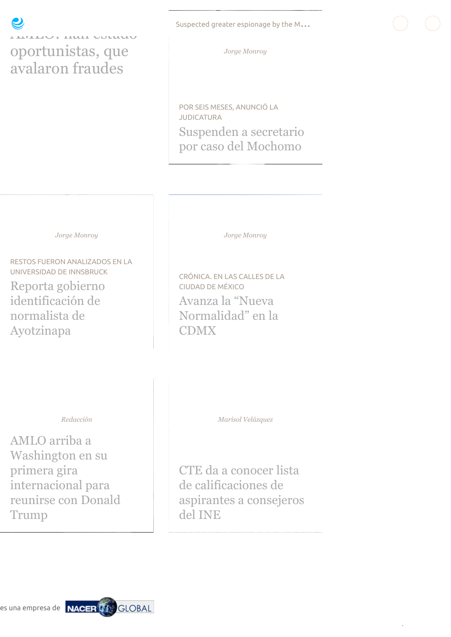

*Jorge Monroy*

POR SEIS MESES, ANUNCIÓ LA JUDICATURA [Suspenden a secretario](https://www.eleconomista.com.mx/politica/Suspenden-a-secretario-por-caso-del-Mochomo-20200707-0138.html) por caso del Mochomo

*Jorge Monroy Jorge Monroy*

RESTOS FUERON ANALIZADOS EN LA UNIVERSIDAD DE INNSBRUCK [Reporta gobierno](https://www.eleconomista.com.mx/politica/Reporta-gobierno-identificacion-de-normalista-de-Ayotzinapa-20200707-0137.html) identificación de normalista de Ayotzinapa

CRÓNICA. EN LAS CALLES DE LA CIUDAD DE MÉXICO Avanza la "Nueva [Normalidad" en la](https://www.eleconomista.com.mx/politica/Avanza-la-Nueva-Normalidad-en-la-CDMX-20200707-0135.html) CDMX

AMLO arriba a Washington en su primera gira internacional para [reunirse con Donald](https://www.eleconomista.com.mx/politica/AMLO-arriba-a-Washington-en-su-primera-gira-internacional-para-reunirse-con-Donald-Trump-20200707-0131.html) Trump

*Redacción Marisol Velázquez*

CTE da a conocer lista de calificaciones de [aspirantes a consejeros](https://www.eleconomista.com.mx/politica/CTE-da-a-conocer-lista-de-calificaciones-de-aspirantes-a-consejeros-del-INE-20200707-0111.html) del INE